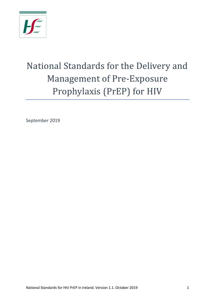

# National Standards for the Delivery and Management of Pre-Exposure Prophylaxis (PrEP) for HIV

September 2019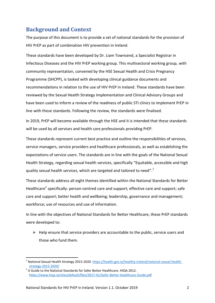# **Background and Context**

The purpose of this document is to provide a set of national standards for the provision of HIV PrEP as part of combination HIV prevention in Ireland.

These standards have been developed by Dr. Liam Townsend, a Specialist Registrar in Infectious Diseases and the HIV PrEP working group. This multisectoral working group, with community representation, convened by the HSE Sexual Health and Crisis Pregnancy Programme (SHCPP), is tasked with developing clinical guidance documents and recommendations in relation to the use of HIV PrEP in Ireland. These standards have been reviewed by the Sexual Health Strategy Implementation and Clinical Advisory Groups and have been used to inform a review of the readiness of public STI clinics to implement PrEP in line with these standards. Following the review, the standards were finalised.

In 2019, PrEP will become available through the HSE and it is intended that these standards will be used by all services and health care professionals providing PrEP.

These standards represent current best practice and outline the responsibilities of services, service managers, service providers and healthcare professionals, as well as establishing the expectations of service users. The standards are in line with the goals of the National Sexual Health Strategy, regarding sexual health services, specifically "Equitable, accessible and high quality sexual health services, which are targeted and tailored to need". $1$ 

These standards address all eight themes identified within the National Standards for Better Healthcare<sup>2</sup> specifically: person-centred care and support; effective care and support; safe care and support; better health and wellbeing; leadership, governance and management; workforce; use of resources and use of information.

In line with the objectives of National Standards for Better Healthcare, these PrEP standards were developed to:

 $\triangleright$  Help ensure that service providers are accountable to the public, service users and those who fund them.

**.** 

<sup>1</sup> National Sexual Health Strategy 2015-2020. [https://health.gov.ie/healthy-ireland/national-sexual-health](https://health.gov.ie/healthy-ireland/national-sexual-health-strategy-2015-2020/)[strategy-2015-2020/](https://health.gov.ie/healthy-ireland/national-sexual-health-strategy-2015-2020/)

 $2$  A Guide to the National Standards for Safer Better Healthcare. HIQA 2012. <https://www.hiqa.ie/sites/default/files/2017-01/Safer-Better-Healthcare-Guide.pdf>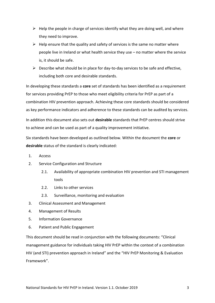- $\triangleright$  Help the people in charge of services identify what they are doing well, and where they need to improve.
- $\triangleright$  Help ensure that the quality and safety of services is the same no matter where people live in Ireland or what health service they use – no matter where the service is, it should be safe.
- $\triangleright$  Describe what should be in place for day-to-day services to be safe and effective, including both core and desirable standards.

In developing these standards a **core** set of standards has been identified as a requirement for services providing PrEP to those who meet eligibility criteria for PrEP as part of a combination HIV prevention approach. Achieving these core standards should be considered as key performance indicators and adherence to these standards can be audited by services.

In addition this document also sets out **desirable** standards that PrEP centres should strive to achieve and can be used as part of a quality improvement initiative.

Six standards have been developed as outlined below. Within the document the **core** or **desirable** status of the standard is clearly indicated:

- 1. Access
- 2. Service Configuration and Structure
	- 2.1. Availability of appropriate combination HIV prevention and STI management tools
	- 2.2. Links to other services
	- 2.3. Surveillance, monitoring and evaluation
- 3. Clinical Assessment and Management
- 4. Management of Results
- 5. Information Governance
- 6. Patient and Public Engagement

This document should be read in conjunction with the following documents: "Clinical management guidance for individuals taking HIV PrEP within the context of a combination HIV (and STI) prevention approach in Ireland" and the "HIV PrEP Monitoring & Evaluation Framework".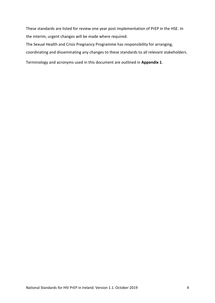These standards are listed for review one year post implementation of PrEP in the HSE. In the interim, urgent changes will be made where required.

The Sexual Health and Crisis Pregnancy Programme has responsibility for arranging,

coordinating and disseminating any changes to these standards to all relevant stakeholders.

Terminology and acronyms used in this document are outlined in **Appendix 1**.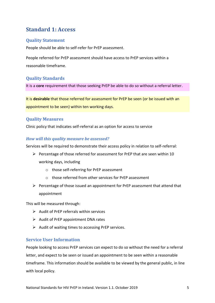# **Standard 1: Access**

# **Quality Statement**

People should be able to self-refer for PrEP assessment.

People referred for PrEP assessment should have access to PrEP services within a reasonable timeframe.

#### **Quality Standards**

It is a **core** requirement that those seeking PrEP be able to do so without a referral letter.

It is **desirable** that those referred for assessment for PrEP be seen (or be issued with an appointment to be seen) within ten working days.

#### **Quality Measures**

Clinic policy that indicates self-referral as an option for access to service

#### *How will this quality measure be assessed?*

Services will be required to demonstrate their access policy in relation to self-referral:

- $\triangleright$  Percentage of those referred for assessment for PrEP that are seen within 10 working days, including
	- o those self-referring for PrEP assessment
	- o those referred from other services for PrEP assessment
- $\triangleright$  Percentage of those issued an appointment for PrEP assessment that attend that appointment

This will be measured through:

- $\triangleright$  Audit of PrFP referrals within services
- $\triangleright$  Audit of PrEP appointment DNA rates
- $\triangleright$  Audit of waiting times to accessing PrEP services.

#### **Service User Information**

People looking to access PrEP services can expect to do so without the need for a referral letter, and expect to be seen or issued an appointment to be seen within a reasonable timeframe. This information should be available to be viewed by the general public, in line with local policy.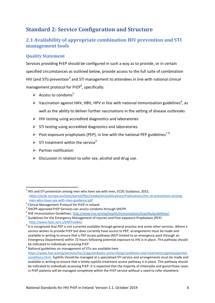# **Standard 2: Service Configuration and Structure**

# **2.1 Availability of appropriate combination HIV prevention and STI management tools**

# **Quality Statement**

Services providing PrEP should be configured in such a way as to provide, or in certain specified circumstances as outlined below, provide access to the full suite of combination HIV (and STI) prevention<sup>3</sup> and STI management to attendees in line with national clinical management protocol for PrEP<sup>4</sup>, specifically:

- Access to condoms<sup>5</sup>
- $\triangleright$  Vaccination against HAV, HBV, HPV in line with national immunisation guidelines<sup>6</sup>, as well as the ability to deliver further vaccinations in the setting of disease outbreaks
- $\triangleright$  HIV testing using accredited diagnostics and laboratories
- $\triangleright$  STI testing using accredited diagnostics and laboratories
- Post-exposure prophylaxis (PEP), in line with the national PEP guidelines<sup>78</sup>
- $\triangleright$  STI treatment within the service<sup>9</sup>
- $\triangleright$  Partner notification
- $\triangleright$  Discussion in relation to safer sex, alcohol and drug use.

 3 HIV and STI prevention among men who have sex with men, ECDC Guidance, 2015, [https://ecdc.europa.eu/sites/portal/files/media/en/publications/Publications/hiv-sti-prevention-among](https://ecdc.europa.eu/sites/portal/files/media/en/publications/Publications/hiv-sti-prevention-among-men-who-have-sex-with-men-guidance.pdf)[men-who-have-sex-with-men-guidance.pdf](https://ecdc.europa.eu/sites/portal/files/media/en/publications/Publications/hiv-sti-prevention-among-men-who-have-sex-with-men-guidance.pdf)

<sup>&</sup>lt;sup>4</sup> Clinical Management Protocol for PrEP in Ireland

<sup>&</sup>lt;sup>5</sup> SHCPP approved PrEP Services can access condoms through SHCPP.

<sup>&</sup>lt;sup>6</sup> HSE Immunisation Guidelines[, http://www.hse.ie/eng/health/Immunisation/hcpinfo/guidelines/](http://www.hse.ie/eng/health/Immunisation/hcpinfo/guidelines/)

 $^7$  Guidelines for the Emergency Management of Injuries and Post-exposure Prophylaxis (PEP) <http://www.hpsc.ie/a-z/EMIToolkit/>

 $^8$  It is recognised that PEP is not currently available through general practice and some other services. Where a service wishes to provide PrEP but does currently have access to PEP, arrangements must be made and available in writing to ensure that a PEP access pathway (NOT limited to an emergency pack through an Emergency Department) within 72 hours following potential exposure to HIV is in place. This pathway should be indicated to individuals accessing PrEP.

<sup>&</sup>lt;sup>9</sup> National guidelines on management of STIs are available here [https://www.hse.ie/eng/services/list/2/gp/antibiotic-prescribing/conditions-and-treatments/genital/genital](https://www.hse.ie/eng/services/list/2/gp/antibiotic-prescribing/conditions-and-treatments/genital/genital-conditions.html)[conditions.html.](https://www.hse.ie/eng/services/list/2/gp/antibiotic-prescribing/conditions-and-treatments/genital/genital-conditions.html) Syphilis should be managed at a specialised STI service and arrangements must be made and available in writing to ensure that a timely syphilis treatment access pathway is in place. This pathway should be indicated to individuals accessing PrEP. It is expected that the majority of chlamydia and gonorrhoea cases in PrEP patients will be managed completely within the PrEP service without a need to refer elsewhere.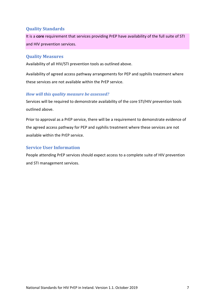#### **Quality Standards**

It is a **core** requirement that services providing PrEP have availability of the full suite of STI and HIV prevention services.

#### **Quality Measures**

Availability of all HIV/STI prevention tools as outlined above.

Availability of agreed access pathway arrangements for PEP and syphilis treatment where these services are not available within the PrEP service.

#### *How will this quality measure be assessed?*

Services will be required to demonstrate availability of the core STI/HIV prevention tools outlined above.

Prior to approval as a PrEP service, there will be a requirement to demonstrate evidence of the agreed access pathway for PEP and syphilis treatment where these services are not available within the PrEP service.

#### **Service User Information**

People attending PrEP services should expect access to a complete suite of HIV prevention and STI management services.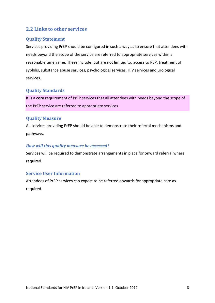# **2.2 Links to other services**

#### **Quality Statement**

Services providing PrEP should be configured in such a way as to ensure that attendees with needs beyond the scope of the service are referred to appropriate services within a reasonable timeframe. These include, but are not limited to, access to PEP, treatment of syphilis, substance abuse services, psychological services, HIV services and urological services.

#### **Quality Standards**

It is a **core** requirement of PrEP services that all attendees with needs beyond the scope of the PrEP service are referred to appropriate services.

#### **Quality Measure**

All services providing PrEP should be able to demonstrate their referral mechanisms and pathways.

#### *How will this quality measure be assessed?*

Services will be required to demonstrate arrangements in place for onward referral where required.

#### **Service User Information**

Attendees of PrEP services can expect to be referred onwards for appropriate care as required.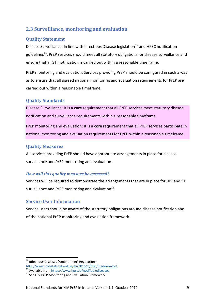# **2.3 Surveillance, monitoring and evaluation**

# **Quality Statement**

Disease Surveillance: In line with Infectious Disease legislation<sup>10</sup> and HPSC notification guidelines<sup>11</sup>, PrEP services should meet all statutory obligations for disease surveillance and ensure that all STI notification is carried out within a reasonable timeframe.

PrEP monitoring and evaluation: Services providing PrEP should be configured in such a way as to ensure that all agreed national monitoring and evaluation requirements for PrEP are carried out within a reasonable timeframe.

#### **Quality Standards**

Disease Surveillance: It is a **core** requirement that all PrEP services meet statutory disease notification and surveillance requirements within a reasonable timeframe.

PrEP monitoring and evaluation: It is a **core** requirement that all PrEP services participate in national monitoring and evaluation requirements for PrEP within a reasonable timeframe.

#### **Quality Measures**

All services providing PrEP should have appropriate arrangements in place for disease surveillance and PrEP monitoring and evaluation.

#### *How will this quality measure be assessed?*

Services will be required to demonstrate the arrangements that are in place for HIV and STI surveillance and PrEP monitoring and evaluation $^{12}$ .

#### **Service User Information**

Service users should be aware of the statutory obligations around disease notification and of the national PrEP monitoring and evaluation framework.

**.** 

<sup>&</sup>lt;sup>10</sup> Infectious Diseases (Amendment) Regulations.

<http://www.irishstatutebook.ie/eli/2015/si/566/made/en/pdf>

<sup>11</sup> Available from<https://www.hpsc.ie/notifiablediseases>

 $12$  See HIV PrEP Monitoring and Evaluation Framework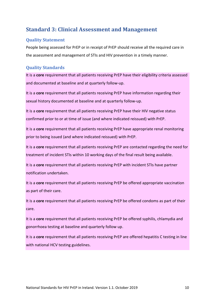# **Standard 3: Clinical Assessment and Management**

#### **Quality Statement**

People being assessed for PrEP or in receipt of PrEP should receive all the required care in the assessment and management of STIs and HIV prevention in a timely manner.

## **Quality Standards**

It is a **core** requirement that all patients receiving PrEP have their eligibility criteria assessed and documented at baseline and at quarterly follow-up.

It is a **core** requirement that all patients receiving PrEP have information regarding their sexual history documented at baseline and at quarterly follow-up.

It is a **core** requirement that all patients receiving PrEP have their HIV negative status confirmed prior to or at time of issue (and where indicated reissued) with PrEP.

It is a **core** requirement that all patients receiving PrEP have appropriate renal monitoring prior to being issued (and where indicated reissued) with PrEP.

It is a **core** requirement that all patients receiving PrEP are contacted regarding the need for treatment of incident STIs within 10 working days of the final result being available.

It is a **core** requirement that all patients receiving PrEP with incident STIs have partner notification undertaken.

It is a **core** requirement that all patients receiving PrEP be offered appropriate vaccination as part of their care.

It is a **core** requirement that all patients receiving PrEP be offered condoms as part of their care.

It is a **core** requirement that all patients receiving PrEP be offered syphilis, chlamydia and gonorrhoea testing at baseline and quarterly follow up.

It is a **core** requirement that all patients receiving PrEP are offered hepatitis C testing in line with national HCV testing guidelines.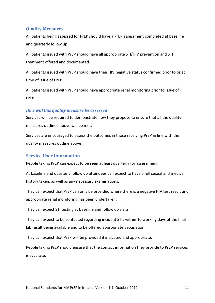#### **Quality Measures**

All patients being assessed for PrEP should have a PrEP assessment completed at baseline and quarterly follow up.

All patients issued with PrEP should have all appropriate STI/HIV prevention and STI treatment offered and documented.

All patients issued with PrEP should have their HIV negative status confirmed prior to or at time of issue of PrEP.

All patients issued with PrEP should have appropriate renal monitoring prior to issue of PrEP.

#### *How will this quality measure be assessed?*

Services will be required to demonstrate how they propose to ensure that all the quality measures outlined above will be met.

Services are encouraged to assess the outcomes in those receiving PrEP in line with the quality measures outline above

#### **Service User Information**

People taking PrEP can expect to be seen at least quarterly for assessment.

At baseline and quarterly follow up attendees can expect to have a full sexual and medical history taken, as well as any necessary examinations.

They can expect that PrEP can only be provided where there is a negative HIV test result and appropriate renal monitoring has been undertaken.

They can expect STI testing at baseline and follow up visits.

They can expect to be contacted regarding incident STIs within 10 working days of the final lab result being available and to be offered appropriate vaccination.

They can expect that PrEP will be provided if indicated and appropriate.

People taking PrEP should ensure that the contact information they provide to PrEP services is accurate.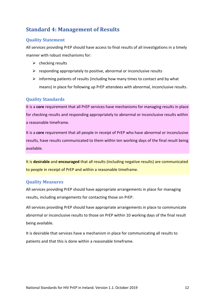# **Standard 4: Management of Results**

## **Quality Statement**

All services providing PrEP should have access to final results of all investigations in a timely manner with robust mechanisms for:

- $\triangleright$  checking results
- $\triangleright$  responding appropriately to positive, abnormal or inconclusive results
- $\triangleright$  informing patients of results (including how many times to contact and by what means) in place for following up PrEP attendees with abnormal, inconclusive results.

## **Quality Standards**

It is a **core** requirement that all PrEP services have mechanisms for managing results in place for checking results and responding appropriately to abnormal or inconclusive results within a reasonable timeframe.

It is a **core** requirement that all people in receipt of PrEP who have abnormal or inconclusive results, have results communicated to them within ten working days of the final result being available.

It is **desirable** and **encouraged** that all results (including negative results) are communicated to people in receipt of PrEP and within a reasonable timeframe.

#### **Quality Measures**

All services providing PrEP should have appropriate arrangements in place for managing results, including arrangements for contacting those on PrEP.

All services providing PrEP should have appropriate arrangements in place to communicate abnormal or inconclusive results to those on PrEP within 10 working days of the final result being available.

It is desirable that services have a mechanism in place for communicating all results to patients and that this is done within a reasonable timeframe.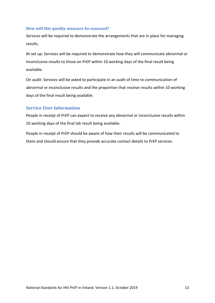#### *How will this quality measure be assessed?*

Services will be required to demonstrate the arrangements that are in place for managing results.

At set up: Services will be required to demonstrate how they will communicate abnormal or inconclusive results to those on PrEP within 10 working days of the final result being available.

On audit: Services will be asked to participate in an audit of time to communication of abnormal or inconclusive results and the proportion that receive results within 10 working days of the final result being available.

#### **Service User Information**

People in receipt of PrEP can expect to receive any abnormal or inconclusive results within 10 working days of the final lab result being available.

People in receipt of PrEP should be aware of how their results will be communicated to them and should ensure that they provide accurate contact details to PrEP services.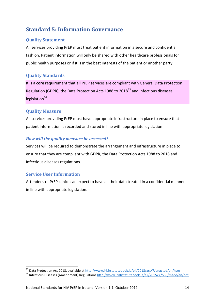# **Standard 5: Information Governance**

# **Quality Statement**

All services providing PrEP must treat patient information in a secure and confidential fashion. Patient information will only be shared with other healthcare professionals for public health purposes or if it is in the best interests of the patient or another party.

## **Quality Standards**

It is a **core** requirement that all PrEP services are compliant with General Data Protection Regulation (GDPR), the Data Protection Acts 1988 to 2018 $^{13}$  and Infectious diseases legislation<sup>14</sup>.

# **Quality Measure**

All services providing PrEP must have appropriate infrastructure in place to ensure that patient information is recorded and stored in line with appropriate legislation.

#### *How will the quality measure be assessed?*

Services will be required to demonstrate the arrangement and infrastructure in place to ensure that they are compliant with GDPR, the Data Protection Acts 1988 to 2018 and Infectious diseases regulations.

# **Service User Information**

1

Attendees of PrEP clinics can expect to have all their data treated in a confidential manner in line with appropriate legislation.

<sup>&</sup>lt;sup>13</sup> Data Protection Act 2018, available at<http://www.irishstatutebook.ie/eli/2018/act/7/enacted/en/html>

<sup>14</sup> Infectious Diseases (Amendment) Regulations <http://www.irishstatutebook.ie/eli/2015/si/566/made/en/pdf>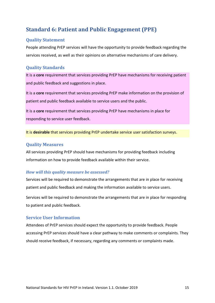# **Standard 6: Patient and Public Engagement (PPE)**

#### **Quality Statement**

People attending PrEP services will have the opportunity to provide feedback regarding the services received, as well as their opinions on alternative mechanisms of care delivery.

## **Quality Standards**

It is a **core** requirement that services providing PrEP have mechanisms for receiving patient and public feedback and suggestions in place.

It is a **core** requirement that services providing PrEP make information on the provision of patient and public feedback available to service users and the public.

It is a **core** requirement that services providing PrEP have mechanisms in place for responding to service user feedback.

It is **desirable** that services providing PrEP undertake service user satisfaction surveys.

#### **Quality Measures**

All services providing PrEP should have mechanisms for providing feedback including information on how to provide feedback available within their service.

#### *How will this quality measure be assessed?*

Services will be required to demonstrate the arrangements that are in place for receiving patient and public feedback and making the information available to service users.

Services will be required to demonstrate the arrangements that are in place for responding to patient and public feedback.

#### **Service User Information**

Attendees of PrEP services should expect the opportunity to provide feedback. People accessing PrEP services should have a clear pathway to make comments or complaints. They should receive feedback, if necessary, regarding any comments or complaints made.